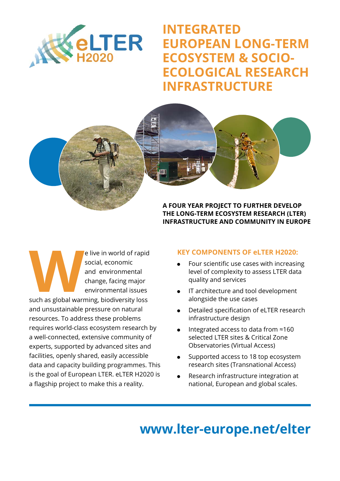

**INTEGRATED EUROPEAN LONG-TERM ECOSYSTEM & SOCIO-ECOLOGICAL RESEARCH INFRASTRUCTURE**



**THE LONG-TERM ECOSYSTEM RESEARCH (LTER) INFRASTRUCTURE AND COMMUNITY IN EUROPE**

Elive in world of rapid<br>
social, economic<br>
and environmental<br>
change, facing major<br>
environmental issues<br>
such as global warming, biodiversity loss social, economic and environmental change, facing major environmental issues

and unsustainable pressure on natural resources. To address these problems requires world-class ecosystem research by a well-connected, extensive community of experts, supported by advanced sites and facilities, openly shared, easily accessible data and capacity building programmes. This is the goal of European LTER. eLTER H2020 is a flagship project to make this a reality.

# **KEY COMPONENTS OF eLTER H2020:**

- Four scientific use cases with increasing level of complexity to assess LTER data quality and services
- IT architecture and tool development alongside the use cases
- Detailed specification of eLTER research infrastructure design
- <sup>Q</sup> Integrated access to data from ≈160 selected LTER sites & Critical Zone Observatories (Virtual Access)
- Supported access to 18 top ecosystem research sites (Transnational Access)
- Research infrastructure integration at national, European and global scales.

# **www.lter-europe.net/elter**